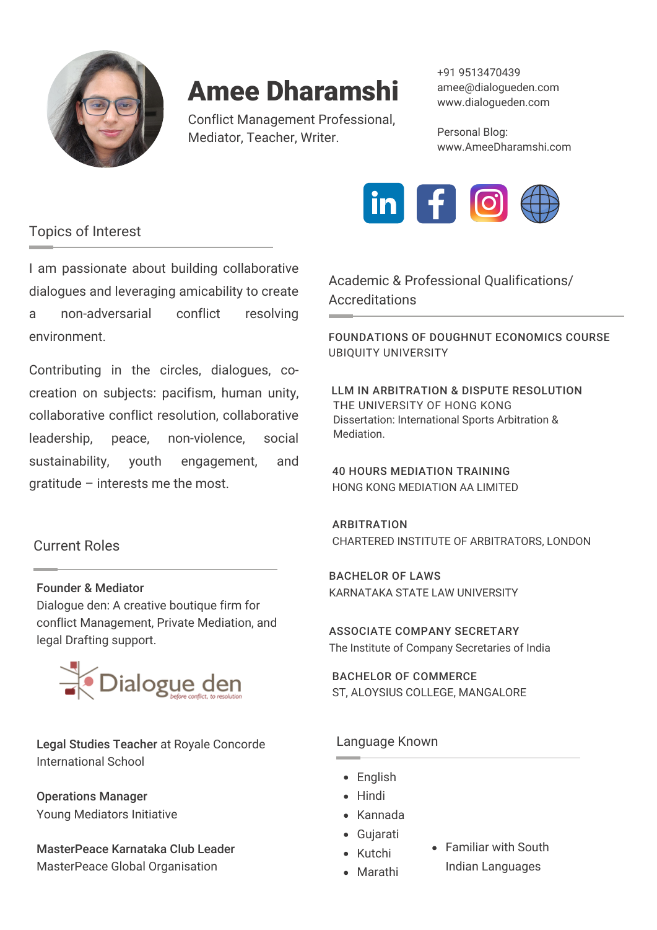

Conflict Management Professional, Mediator, Teacher, Writer.

+91 9513470439 amee@dialogueden.com www.dialogueden.com

Personal Blog: www.AmeeDharamshi.com



# Topics of Interest

I am passionate about building collaborative dialogues and leveraging amicability to create a non-adversarial conflict resolving environment.

Contributing in the circles, dialogues, cocreation on subjects: pacifism, human unity, collaborative conflict resolution, collaborative leadership, peace, non-violence, social sustainability, youth engagement, and gratitude – interests me the most.

# Current Roles

## Founder & Mediator

[Dialogue](https://dialogueden.com/) den: A creative boutique firm for conflict Management, Private Mediation, and legal Drafting support.



Legal Studies Teacher at Royale Concorde International School

Operations Manager Young Mediators Initiative

MasterPeace Karnataka Club Leader MasterPeace Global Organisation

Academic & Professional Qualifications/ **Accreditations** 

[FOUNDATIONS](https://t.sidekickopen84.com/s3t/c/5/f18dQhb0S7kF8cFBGjW1SPQSL59hl3kW7_k2841CXdp3VNxC2W2S0-_BW2bzNNx5W0Qjm101?te=W3R5hFj4cm2zwW4mKLS-4hCVHfW4hGQZZ4hJVmWW3K8R4D4fQQWQW49LdrD43XxsQW3K96BZ49HLqyW3zh2F949RcZQW41p0P13P0vv1W49HSG34kCBkBw3Fdy8c48T2&si=8000000001455238&pi=2e26f04e-f736-4c39-9d70-66b9b640a4a5) OF DOUGHNUT ECONOMICS COURSE UBIQUITY UNIVERSITY

THE UNIVERSITY OF HONG KONG Dissertation: International Sports Arbitration & Mediation. LLM IN ARBITRATION & DISPUTE RESOLUTION

40 HOURS MEDIATION TRAINING HONG KONG MEDIATION AA LIMITED

ARBITRATION CHARTERED INSTITUTE OF ARBITRATORS, LONDON

BACHELOR OF LAWS KARNATAKA STATE LAW UNIVERSITY

ASSOCIATE COMPANY SECRETARY The Institute of Company Secretaries of India

BACHELOR OF COMMERCE ST, ALOYSIUS COLLEGE, MANGALORE

## Language Known

- English
- Hindi
- Kannada
- Gujarati
- Kutchi
- Familiar with South Indian Languages
- Marathi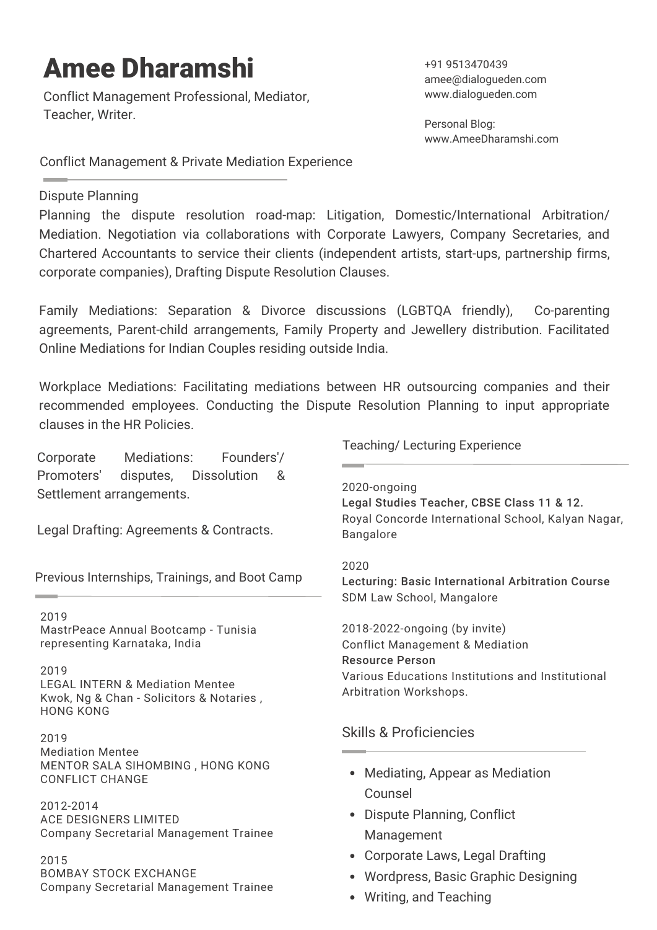Conflict Management Professional, Mediator, Teacher, Writer.

+91 9513470439 amee@dialogueden.com www.dialogueden.com

Personal Blog: www.AmeeDharamshi.com

Conflict Management & Private Mediation Experience

## Dispute Planning

Planning the dispute resolution road-map: Litigation, Domestic/International Arbitration/ Mediation. Negotiation via collaborations with Corporate Lawyers, Company Secretaries, and Chartered Accountants to service their clients (independent artists, start-ups, partnership firms, corporate companies), Drafting Dispute Resolution Clauses.

Family Mediations: Separation & Divorce discussions (LGBTQA friendly), Co-parenting agreements, Parent-child arrangements, Family Property and Jewellery distribution. Facilitated Online Mediations for Indian Couples residing outside India.

Workplace Mediations: Facilitating mediations between HR outsourcing companies and their recommended employees. Conducting the Dispute Resolution Planning to input appropriate clauses in the HR Policies.

Corporate Mediations: Founders'/ Promoters' disputes, Dissolution & Settlement arrangements.

Legal Drafting: Agreements & Contracts.

Previous Internships, Trainings, and Boot Camp

### 2019

MastrPeace Annual Bootcamp - Tunisia representing Karnataka, India

### 2019

LEGAL INTERN & Mediation Mentee Kwok, Ng & Chan - [Solicitors](http://www.kncsol.com/) & Notaries , HONG KONG

2019 Mediation Mentee MENTOR SALA SIHOMBING , HONG KONG [CONFLICT](https://www.conflictchange.com/about.html) CHANGE

2012-2014 ACE [DESIGNERS](https://www.acemicromatic.net/ace-designers/) LIMITED Company Secretarial Management Trainee

#### 2015 BOMBAY STOCK [EXCHANGE](https://www.bseindia.com/) Company Secretarial [Management](https://www.bseindia.com/) Trainee

Teaching/ Lecturing Experience

### 2020-ongoing

Legal Studies Teacher, CBSE Class 11 & 12. Royal Concorde International School, Kalyan Nagar, Bangalore

#### 2020

Lecturing: Basic International Arbitration Course SDM Law School, Mangalore

2018-2022-ongoing (by invite) Conflict Management & Mediation Resource Person Various Educations Institutions and Institutional Arbitration Workshops.

# Skills & Proficiencies

- Mediating, Appear as Mediation Counsel
- Dispute Planning, Conflict Management
- Corporate Laws, Legal Drafting
- Wordpress, Basic Graphic Designing
- Writing, and Teaching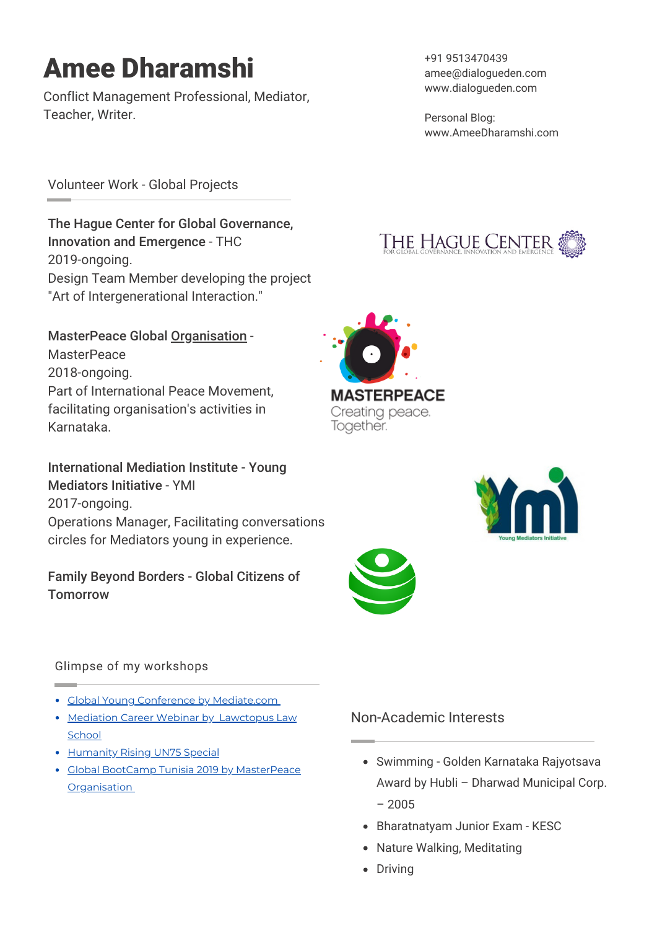Conflict Management Professional, Mediator, Teacher, Writer.

+91 9513470439 amee@dialogueden.com www.dialogueden.com

Personal Blog: www.AmeeDharamshi.com

Volunteer Work - Global Projects

The Hague Center for Global [Governance,](http://www.thehaguecenter.org/) Innovation and Emergence - [THC](http://www.thehaguecenter.org/) 2019-ongoing. Design Team Member developing the project "Art of Intergenerational Interaction."

[MasterPeace](http://www.thehaguecenter.org/) Global [Organisation](http://www.thehaguecenter.org/) -**[MasterPeace](https://masterpeace.org/)** 2018-ongoing. Part of International Peace Movement, facilitating organisation's activities in Karnataka.

[International](https://imimediation.org/ymi/) Mediation Institute - Young Mediators Initiativ[e](https://imimediation.org/ymi/) - [YMI](https://imimediation.org/about/who-are-imi/imi-team/) 2017-ongoing. Operations Manager, Facilitating conversations circles for Mediators young in experience.

# Family Beyond Borders - Global Citizens of **[Tomorrow](https://www.facebook.com/Global-Citizens-of-Tomorrow-100491018463054)**









# Glimpse of my workshops

- **Global Young Conference by [Mediate.com](https://www.mediate.com/YouthVoicesinADR/pg7.cfm)**
- [Mediation](https://www.youtube.com/watch?v=y0WRK76p5Ks) Career Webinar by [Lawctopus](https://www.youtube.com/watch?v=y0WRK76p5Ks) Law **School**
- [Humanity](https://www.youtube.com/watch?v=0pII1crbmKk) Rising UN75 Special
- Global BootCamp Tunisia 2019 by [MasterPeace](https://www.youtube.com/watch?v=3xktobBSwBQ) **Orga[n](https://www.youtube.com/watch?v=3xktobBSwBQ)isation**

# Non-Academic Interests

- Swimming Golden Karnataka Rajyotsava Award by Hubli – Dharwad Municipal Corp. – 2005
- Bharatnatyam Junior Exam KESC
- Nature Walking, Meditating
- Driving